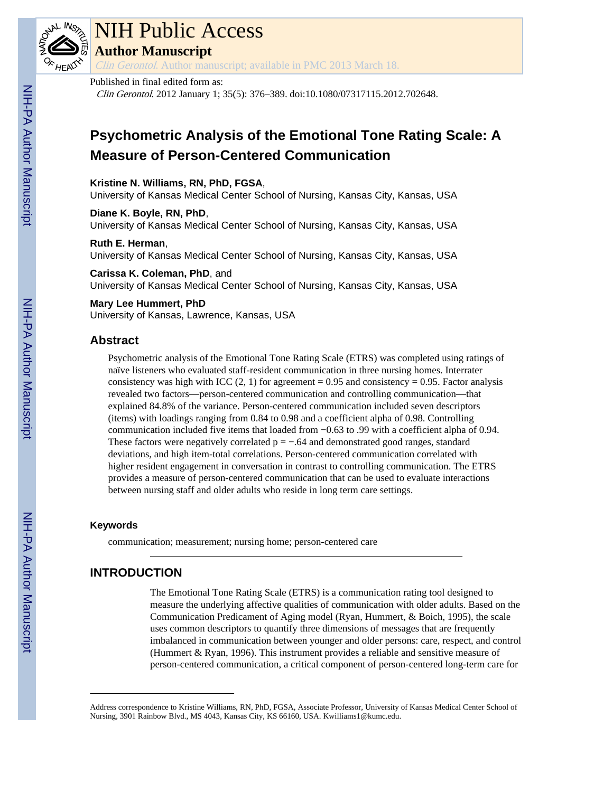

# NIH Public Access

**Author Manuscript**

Clin Gerontol. Author manuscript; available in PMC 2013 March 18.

## Published in final edited form as:

Clin Gerontol. 2012 January 1; 35(5): 376–389. doi:10.1080/07317115.2012.702648.

## **Psychometric Analysis of the Emotional Tone Rating Scale: A Measure of Person-Centered Communication**

### **Kristine N. Williams, RN, PhD, FGSA**,

University of Kansas Medical Center School of Nursing, Kansas City, Kansas, USA

**Diane K. Boyle, RN, PhD**, University of Kansas Medical Center School of Nursing, Kansas City, Kansas, USA

#### **Ruth E. Herman**, University of Kansas Medical Center School of Nursing, Kansas City, Kansas, USA

**Carissa K. Coleman, PhD**, and

University of Kansas Medical Center School of Nursing, Kansas City, Kansas, USA

## **Mary Lee Hummert, PhD** University of Kansas, Lawrence, Kansas, USA

## **Abstract**

Psychometric analysis of the Emotional Tone Rating Scale (ETRS) was completed using ratings of naïve listeners who evaluated staff-resident communication in three nursing homes. Interrater consistency was high with ICC  $(2, 1)$  for agreement = 0.95 and consistency = 0.95. Factor analysis revealed two factors—person-centered communication and controlling communication—that explained 84.8% of the variance. Person-centered communication included seven descriptors (items) with loadings ranging from 0.84 to 0.98 and a coefficient alpha of 0.98. Controlling communication included five items that loaded from −0.63 to .99 with a coefficient alpha of 0.94. These factors were negatively correlated  $p = -.64$  and demonstrated good ranges, standard deviations, and high item-total correlations. Person-centered communication correlated with higher resident engagement in conversation in contrast to controlling communication. The ETRS provides a measure of person-centered communication that can be used to evaluate interactions between nursing staff and older adults who reside in long term care settings.

## **Keywords**

communication; measurement; nursing home; person-centered care

## **INTRODUCTION**

The Emotional Tone Rating Scale (ETRS) is a communication rating tool designed to measure the underlying affective qualities of communication with older adults. Based on the Communication Predicament of Aging model (Ryan, Hummert, & Boich, 1995), the scale uses common descriptors to quantify three dimensions of messages that are frequently imbalanced in communication between younger and older persons: care, respect, and control (Hummert & Ryan, 1996). This instrument provides a reliable and sensitive measure of person-centered communication, a critical component of person-centered long-term care for

Address correspondence to Kristine Williams, RN, PhD, FGSA, Associate Professor, University of Kansas Medical Center School of Nursing, 3901 Rainbow Blvd., MS 4043, Kansas City, KS 66160, USA. Kwilliams1@kumc.edu.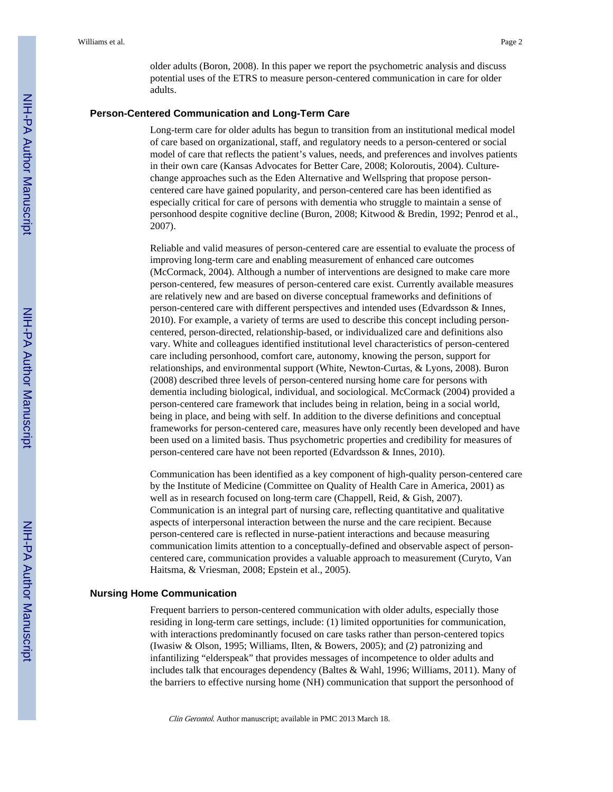older adults (Boron, 2008). In this paper we report the psychometric analysis and discuss potential uses of the ETRS to measure person-centered communication in care for older adults.

#### **Person-Centered Communication and Long-Term Care**

Long-term care for older adults has begun to transition from an institutional medical model of care based on organizational, staff, and regulatory needs to a person-centered or social model of care that reflects the patient's values, needs, and preferences and involves patients in their own care (Kansas Advocates for Better Care, 2008; Koloroutis, 2004). Culturechange approaches such as the Eden Alternative and Wellspring that propose personcentered care have gained popularity, and person-centered care has been identified as especially critical for care of persons with dementia who struggle to maintain a sense of personhood despite cognitive decline (Buron, 2008; Kitwood & Bredin, 1992; Penrod et al., 2007).

Reliable and valid measures of person-centered care are essential to evaluate the process of improving long-term care and enabling measurement of enhanced care outcomes (McCormack, 2004). Although a number of interventions are designed to make care more person-centered, few measures of person-centered care exist. Currently available measures are relatively new and are based on diverse conceptual frameworks and definitions of person-centered care with different perspectives and intended uses (Edvardsson & Innes, 2010). For example, a variety of terms are used to describe this concept including personcentered, person-directed, relationship-based, or individualized care and definitions also vary. White and colleagues identified institutional level characteristics of person-centered care including personhood, comfort care, autonomy, knowing the person, support for relationships, and environmental support (White, Newton-Curtas, & Lyons, 2008). Buron (2008) described three levels of person-centered nursing home care for persons with dementia including biological, individual, and sociological. McCormack (2004) provided a person-centered care framework that includes being in relation, being in a social world, being in place, and being with self. In addition to the diverse definitions and conceptual frameworks for person-centered care, measures have only recently been developed and have been used on a limited basis. Thus psychometric properties and credibility for measures of person-centered care have not been reported (Edvardsson & Innes, 2010).

Communication has been identified as a key component of high-quality person-centered care by the Institute of Medicine (Committee on Quality of Health Care in America, 2001) as well as in research focused on long-term care (Chappell, Reid, & Gish, 2007). Communication is an integral part of nursing care, reflecting quantitative and qualitative aspects of interpersonal interaction between the nurse and the care recipient. Because person-centered care is reflected in nurse-patient interactions and because measuring communication limits attention to a conceptually-defined and observable aspect of personcentered care, communication provides a valuable approach to measurement (Curyto, Van Haitsma, & Vriesman, 2008; Epstein et al., 2005).

#### **Nursing Home Communication**

Frequent barriers to person-centered communication with older adults, especially those residing in long-term care settings, include: (1) limited opportunities for communication, with interactions predominantly focused on care tasks rather than person-centered topics (Iwasiw & Olson, 1995; Williams, Ilten, & Bowers, 2005); and (2) patronizing and infantilizing "elderspeak" that provides messages of incompetence to older adults and includes talk that encourages dependency (Baltes & Wahl, 1996; Williams, 2011). Many of the barriers to effective nursing home (NH) communication that support the personhood of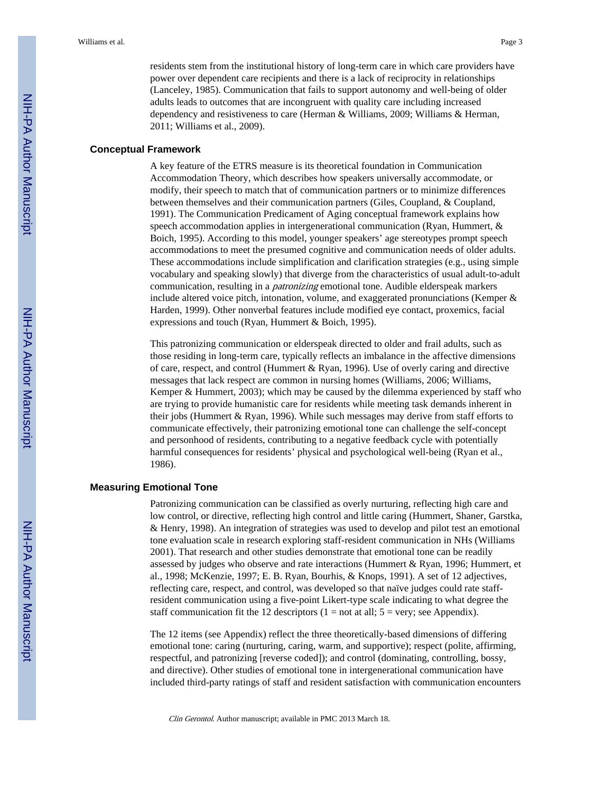residents stem from the institutional history of long-term care in which care providers have power over dependent care recipients and there is a lack of reciprocity in relationships (Lanceley, 1985). Communication that fails to support autonomy and well-being of older adults leads to outcomes that are incongruent with quality care including increased dependency and resistiveness to care (Herman & Williams, 2009; Williams & Herman, 2011; Williams et al., 2009).

#### **Conceptual Framework**

A key feature of the ETRS measure is its theoretical foundation in Communication Accommodation Theory, which describes how speakers universally accommodate, or modify, their speech to match that of communication partners or to minimize differences between themselves and their communication partners (Giles, Coupland, & Coupland, 1991). The Communication Predicament of Aging conceptual framework explains how speech accommodation applies in intergenerational communication (Ryan, Hummert, & Boich, 1995). According to this model, younger speakers' age stereotypes prompt speech accommodations to meet the presumed cognitive and communication needs of older adults. These accommodations include simplification and clarification strategies (e.g., using simple vocabulary and speaking slowly) that diverge from the characteristics of usual adult-to-adult communication, resulting in a patronizing emotional tone. Audible elderspeak markers include altered voice pitch, intonation, volume, and exaggerated pronunciations (Kemper & Harden, 1999). Other nonverbal features include modified eye contact, proxemics, facial expressions and touch (Ryan, Hummert & Boich, 1995).

This patronizing communication or elderspeak directed to older and frail adults, such as those residing in long-term care, typically reflects an imbalance in the affective dimensions of care, respect, and control (Hummert & Ryan, 1996). Use of overly caring and directive messages that lack respect are common in nursing homes (Williams, 2006; Williams, Kemper & Hummert, 2003); which may be caused by the dilemma experienced by staff who are trying to provide humanistic care for residents while meeting task demands inherent in their jobs (Hummert & Ryan, 1996). While such messages may derive from staff efforts to communicate effectively, their patronizing emotional tone can challenge the self-concept and personhood of residents, contributing to a negative feedback cycle with potentially harmful consequences for residents' physical and psychological well-being (Ryan et al., 1986).

#### **Measuring Emotional Tone**

Patronizing communication can be classified as overly nurturing, reflecting high care and low control, or directive, reflecting high control and little caring (Hummert, Shaner, Garstka, & Henry, 1998). An integration of strategies was used to develop and pilot test an emotional tone evaluation scale in research exploring staff-resident communication in NHs (Williams 2001). That research and other studies demonstrate that emotional tone can be readily assessed by judges who observe and rate interactions (Hummert & Ryan, 1996; Hummert, et al., 1998; McKenzie, 1997; E. B. Ryan, Bourhis, & Knops, 1991). A set of 12 adjectives, reflecting care, respect, and control, was developed so that naïve judges could rate staffresident communication using a five-point Likert-type scale indicating to what degree the staff communication fit the 12 descriptors  $(1 = not at all; 5 = very; see Appendix).$ 

The 12 items (see Appendix) reflect the three theoretically-based dimensions of differing emotional tone: caring (nurturing, caring, warm, and supportive); respect (polite, affirming, respectful, and patronizing [reverse coded]); and control (dominating, controlling, bossy, and directive). Other studies of emotional tone in intergenerational communication have included third-party ratings of staff and resident satisfaction with communication encounters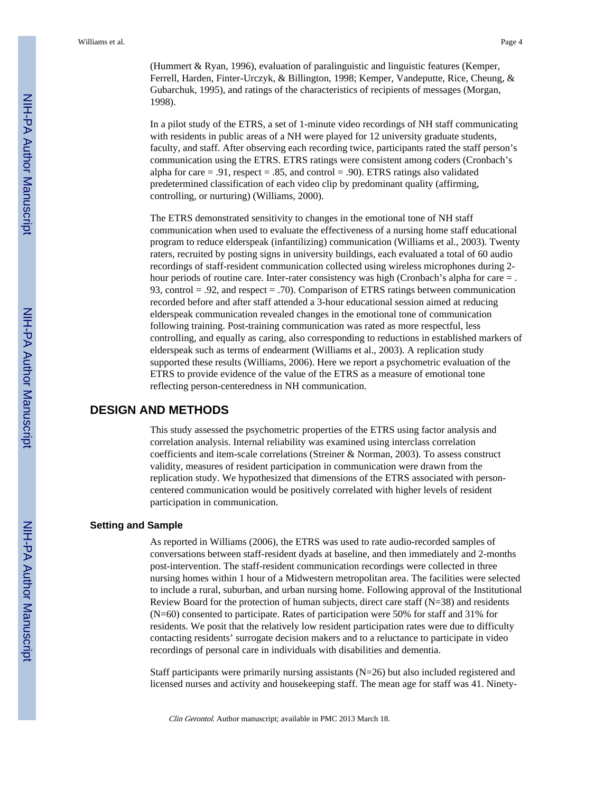In a pilot study of the ETRS, a set of 1-minute video recordings of NH staff communicating with residents in public areas of a NH were played for 12 university graduate students, faculty, and staff. After observing each recording twice, participants rated the staff person's communication using the ETRS. ETRS ratings were consistent among coders (Cronbach's alpha for care  $= .91$ , respect  $= .85$ , and control  $= .90$ ). ETRS ratings also validated predetermined classification of each video clip by predominant quality (affirming, controlling, or nurturing) (Williams, 2000).

The ETRS demonstrated sensitivity to changes in the emotional tone of NH staff communication when used to evaluate the effectiveness of a nursing home staff educational program to reduce elderspeak (infantilizing) communication (Williams et al., 2003). Twenty raters, recruited by posting signs in university buildings, each evaluated a total of 60 audio recordings of staff-resident communication collected using wireless microphones during 2 hour periods of routine care. Inter-rater consistency was high (Cronbach's alpha for care = . 93, control = .92, and respect = .70). Comparison of ETRS ratings between communication recorded before and after staff attended a 3-hour educational session aimed at reducing elderspeak communication revealed changes in the emotional tone of communication following training. Post-training communication was rated as more respectful, less controlling, and equally as caring, also corresponding to reductions in established markers of elderspeak such as terms of endearment (Williams et al., 2003). A replication study supported these results (Williams, 2006). Here we report a psychometric evaluation of the ETRS to provide evidence of the value of the ETRS as a measure of emotional tone reflecting person-centeredness in NH communication.

## **DESIGN AND METHODS**

This study assessed the psychometric properties of the ETRS using factor analysis and correlation analysis. Internal reliability was examined using interclass correlation coefficients and item-scale correlations (Streiner & Norman, 2003). To assess construct validity, measures of resident participation in communication were drawn from the replication study. We hypothesized that dimensions of the ETRS associated with personcentered communication would be positively correlated with higher levels of resident participation in communication.

#### **Setting and Sample**

As reported in Williams (2006), the ETRS was used to rate audio-recorded samples of conversations between staff-resident dyads at baseline, and then immediately and 2-months post-intervention. The staff-resident communication recordings were collected in three nursing homes within 1 hour of a Midwestern metropolitan area. The facilities were selected to include a rural, suburban, and urban nursing home. Following approval of the Institutional Review Board for the protection of human subjects, direct care staff (N=38) and residents (N=60) consented to participate. Rates of participation were 50% for staff and 31% for residents. We posit that the relatively low resident participation rates were due to difficulty contacting residents' surrogate decision makers and to a reluctance to participate in video recordings of personal care in individuals with disabilities and dementia.

Staff participants were primarily nursing assistants (N=26) but also included registered and licensed nurses and activity and housekeeping staff. The mean age for staff was 41. Ninety-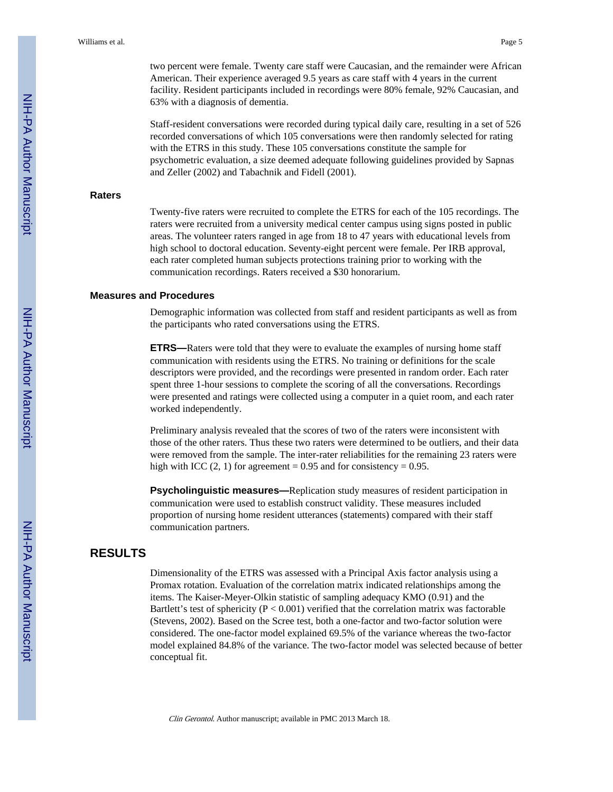two percent were female. Twenty care staff were Caucasian, and the remainder were African American. Their experience averaged 9.5 years as care staff with 4 years in the current facility. Resident participants included in recordings were 80% female, 92% Caucasian, and 63% with a diagnosis of dementia.

Staff-resident conversations were recorded during typical daily care, resulting in a set of 526 recorded conversations of which 105 conversations were then randomly selected for rating with the ETRS in this study. These 105 conversations constitute the sample for psychometric evaluation, a size deemed adequate following guidelines provided by Sapnas and Zeller (2002) and Tabachnik and Fidell (2001).

#### **Raters**

Twenty-five raters were recruited to complete the ETRS for each of the 105 recordings. The raters were recruited from a university medical center campus using signs posted in public areas. The volunteer raters ranged in age from 18 to 47 years with educational levels from high school to doctoral education. Seventy-eight percent were female. Per IRB approval, each rater completed human subjects protections training prior to working with the communication recordings. Raters received a \$30 honorarium.

#### **Measures and Procedures**

Demographic information was collected from staff and resident participants as well as from the participants who rated conversations using the ETRS.

**ETRS—**Raters were told that they were to evaluate the examples of nursing home staff communication with residents using the ETRS. No training or definitions for the scale descriptors were provided, and the recordings were presented in random order. Each rater spent three 1-hour sessions to complete the scoring of all the conversations. Recordings were presented and ratings were collected using a computer in a quiet room, and each rater worked independently.

Preliminary analysis revealed that the scores of two of the raters were inconsistent with those of the other raters. Thus these two raters were determined to be outliers, and their data were removed from the sample. The inter-rater reliabilities for the remaining 23 raters were high with ICC  $(2, 1)$  for agreement = 0.95 and for consistency = 0.95.

**Psycholinguistic measures—**Replication study measures of resident participation in communication were used to establish construct validity. These measures included proportion of nursing home resident utterances (statements) compared with their staff communication partners.

## **RESULTS**

Dimensionality of the ETRS was assessed with a Principal Axis factor analysis using a Promax rotation. Evaluation of the correlation matrix indicated relationships among the items. The Kaiser-Meyer-Olkin statistic of sampling adequacy KMO (0.91) and the Bartlett's test of sphericity ( $P < 0.001$ ) verified that the correlation matrix was factorable (Stevens, 2002). Based on the Scree test, both a one-factor and two-factor solution were considered. The one-factor model explained 69.5% of the variance whereas the two-factor model explained 84.8% of the variance. The two-factor model was selected because of better conceptual fit.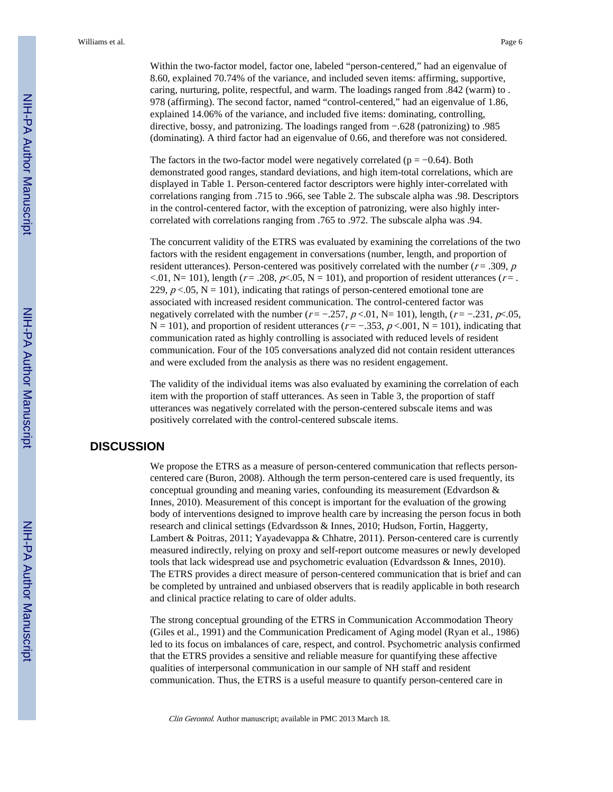Within the two-factor model, factor one, labeled "person-centered," had an eigenvalue of 8.60, explained 70.74% of the variance, and included seven items: affirming, supportive, caring, nurturing, polite, respectful, and warm. The loadings ranged from .842 (warm) to . 978 (affirming). The second factor, named "control-centered," had an eigenvalue of 1.86, explained 14.06% of the variance, and included five items: dominating, controlling, directive, bossy, and patronizing. The loadings ranged from −.628 (patronizing) to .985 (dominating). A third factor had an eigenvalue of 0.66, and therefore was not considered.

The factors in the two-factor model were negatively correlated ( $p = -0.64$ ). Both demonstrated good ranges, standard deviations, and high item-total correlations, which are displayed in Table 1. Person-centered factor descriptors were highly inter-correlated with correlations ranging from .715 to .966, see Table 2. The subscale alpha was .98. Descriptors in the control-centered factor, with the exception of patronizing, were also highly intercorrelated with correlations ranging from .765 to .972. The subscale alpha was .94.

The concurrent validity of the ETRS was evaluated by examining the correlations of the two factors with the resident engagement in conversations (number, length, and proportion of resident utterances). Person-centered was positively correlated with the number ( $r = .309$ ,  $p$ ) <.01, N= 101), length ( $r = .208$ ,  $p< .05$ , N = 101), and proportion of resident utterances ( $r = .$ 229,  $p < .05$ ,  $N = 101$ ), indicating that ratings of person-centered emotional tone are associated with increased resident communication. The control-centered factor was negatively correlated with the number ( $r = -.257$ ,  $p < .01$ , N= 101), length, ( $r = -.231$ ,  $p < .05$ ,  $N = 101$ ), and proportion of resident utterances ( $r = -.353$ ,  $p < .001$ ,  $N = 101$ ), indicating that communication rated as highly controlling is associated with reduced levels of resident communication. Four of the 105 conversations analyzed did not contain resident utterances and were excluded from the analysis as there was no resident engagement.

The validity of the individual items was also evaluated by examining the correlation of each item with the proportion of staff utterances. As seen in Table 3, the proportion of staff utterances was negatively correlated with the person-centered subscale items and was positively correlated with the control-centered subscale items.

## **DISCUSSION**

We propose the ETRS as a measure of person-centered communication that reflects personcentered care (Buron, 2008). Although the term person-centered care is used frequently, its conceptual grounding and meaning varies, confounding its measurement (Edvardson & Innes, 2010). Measurement of this concept is important for the evaluation of the growing body of interventions designed to improve health care by increasing the person focus in both research and clinical settings (Edvardsson & Innes, 2010; Hudson, Fortin, Haggerty, Lambert & Poitras, 2011; Yayadevappa & Chhatre, 2011). Person-centered care is currently measured indirectly, relying on proxy and self-report outcome measures or newly developed tools that lack widespread use and psychometric evaluation (Edvardsson & Innes, 2010). The ETRS provides a direct measure of person-centered communication that is brief and can be completed by untrained and unbiased observers that is readily applicable in both research and clinical practice relating to care of older adults.

The strong conceptual grounding of the ETRS in Communication Accommodation Theory (Giles et al., 1991) and the Communication Predicament of Aging model (Ryan et al., 1986) led to its focus on imbalances of care, respect, and control. Psychometric analysis confirmed that the ETRS provides a sensitive and reliable measure for quantifying these affective qualities of interpersonal communication in our sample of NH staff and resident communication. Thus, the ETRS is a useful measure to quantify person-centered care in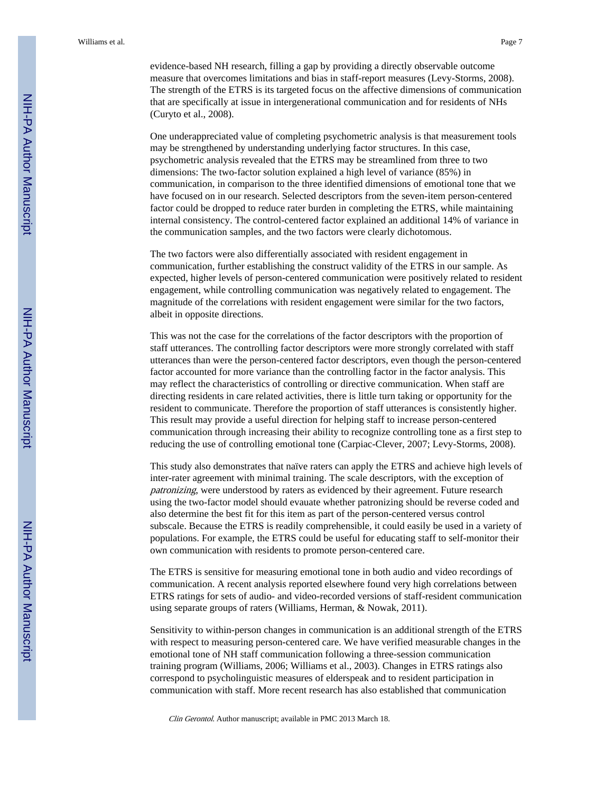evidence-based NH research, filling a gap by providing a directly observable outcome measure that overcomes limitations and bias in staff-report measures (Levy-Storms, 2008). The strength of the ETRS is its targeted focus on the affective dimensions of communication that are specifically at issue in intergenerational communication and for residents of NHs (Curyto et al., 2008).

One underappreciated value of completing psychometric analysis is that measurement tools may be strengthened by understanding underlying factor structures. In this case, psychometric analysis revealed that the ETRS may be streamlined from three to two dimensions: The two-factor solution explained a high level of variance (85%) in communication, in comparison to the three identified dimensions of emotional tone that we have focused on in our research. Selected descriptors from the seven-item person-centered factor could be dropped to reduce rater burden in completing the ETRS, while maintaining internal consistency. The control-centered factor explained an additional 14% of variance in the communication samples, and the two factors were clearly dichotomous.

The two factors were also differentially associated with resident engagement in communication, further establishing the construct validity of the ETRS in our sample. As expected, higher levels of person-centered communication were positively related to resident engagement, while controlling communication was negatively related to engagement. The magnitude of the correlations with resident engagement were similar for the two factors, albeit in opposite directions.

This was not the case for the correlations of the factor descriptors with the proportion of staff utterances. The controlling factor descriptors were more strongly correlated with staff utterances than were the person-centered factor descriptors, even though the person-centered factor accounted for more variance than the controlling factor in the factor analysis. This may reflect the characteristics of controlling or directive communication. When staff are directing residents in care related activities, there is little turn taking or opportunity for the resident to communicate. Therefore the proportion of staff utterances is consistently higher. This result may provide a useful direction for helping staff to increase person-centered communication through increasing their ability to recognize controlling tone as a first step to reducing the use of controlling emotional tone (Carpiac-Clever, 2007; Levy-Storms, 2008).

This study also demonstrates that naïve raters can apply the ETRS and achieve high levels of inter-rater agreement with minimal training. The scale descriptors, with the exception of patronizing, were understood by raters as evidenced by their agreement. Future research using the two-factor model should evauate whether patronizing should be reverse coded and also determine the best fit for this item as part of the person-centered versus control subscale. Because the ETRS is readily comprehensible, it could easily be used in a variety of populations. For example, the ETRS could be useful for educating staff to self-monitor their own communication with residents to promote person-centered care.

The ETRS is sensitive for measuring emotional tone in both audio and video recordings of communication. A recent analysis reported elsewhere found very high correlations between ETRS ratings for sets of audio- and video-recorded versions of staff-resident communication using separate groups of raters (Williams, Herman, & Nowak, 2011).

Sensitivity to within-person changes in communication is an additional strength of the ETRS with respect to measuring person-centered care. We have verified measurable changes in the emotional tone of NH staff communication following a three-session communication training program (Williams, 2006; Williams et al., 2003). Changes in ETRS ratings also correspond to psycholinguistic measures of elderspeak and to resident participation in communication with staff. More recent research has also established that communication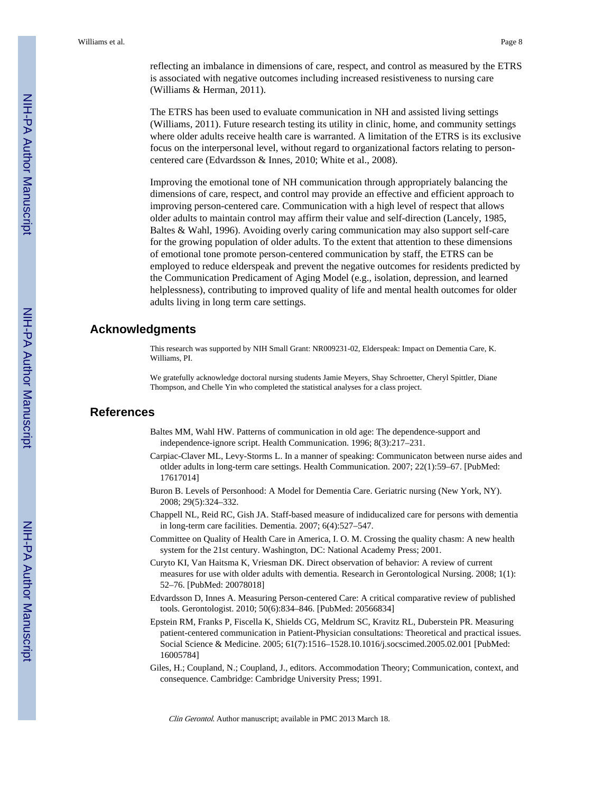reflecting an imbalance in dimensions of care, respect, and control as measured by the ETRS is associated with negative outcomes including increased resistiveness to nursing care (Williams & Herman, 2011).

The ETRS has been used to evaluate communication in NH and assisted living settings (Williams, 2011). Future research testing its utility in clinic, home, and community settings where older adults receive health care is warranted. A limitation of the ETRS is its exclusive focus on the interpersonal level, without regard to organizational factors relating to personcentered care (Edvardsson & Innes, 2010; White et al., 2008).

Improving the emotional tone of NH communication through appropriately balancing the dimensions of care, respect, and control may provide an effective and efficient approach to improving person-centered care. Communication with a high level of respect that allows older adults to maintain control may affirm their value and self-direction (Lancely, 1985, Baltes & Wahl, 1996). Avoiding overly caring communication may also support self-care for the growing population of older adults. To the extent that attention to these dimensions of emotional tone promote person-centered communication by staff, the ETRS can be employed to reduce elderspeak and prevent the negative outcomes for residents predicted by the Communication Predicament of Aging Model (e.g., isolation, depression, and learned helplessness), contributing to improved quality of life and mental health outcomes for older adults living in long term care settings.

## **Acknowledgments**

This research was supported by NIH Small Grant: NR009231-02, Elderspeak: Impact on Dementia Care, K. Williams, PI.

We gratefully acknowledge doctoral nursing students Jamie Meyers, Shay Schroetter, Cheryl Spittler, Diane Thompson, and Chelle Yin who completed the statistical analyses for a class project.

## **References**

- Baltes MM, Wahl HW. Patterns of communication in old age: The dependence-support and independence-ignore script. Health Communication. 1996; 8(3):217–231.
- Carpiac-Claver ML, Levy-Storms L. In a manner of speaking: Communicaton between nurse aides and otlder adults in long-term care settings. Health Communication. 2007; 22(1):59–67. [PubMed: 17617014]
- Buron B. Levels of Personhood: A Model for Dementia Care. Geriatric nursing (New York, NY). 2008; 29(5):324–332.
- Chappell NL, Reid RC, Gish JA. Staff-based measure of indiducalized care for persons with dementia in long-term care facilities. Dementia. 2007; 6(4):527–547.
- Committee on Quality of Health Care in America, I. O. M. Crossing the quality chasm: A new health system for the 21st century. Washington, DC: National Academy Press; 2001.
- Curyto KI, Van Haitsma K, Vriesman DK. Direct observation of behavior: A review of current measures for use with older adults with dementia. Research in Gerontological Nursing. 2008; 1(1): 52–76. [PubMed: 20078018]
- Edvardsson D, Innes A. Measuring Person-centered Care: A critical comparative review of published tools. Gerontologist. 2010; 50(6):834–846. [PubMed: 20566834]
- Epstein RM, Franks P, Fiscella K, Shields CG, Meldrum SC, Kravitz RL, Duberstein PR. Measuring patient-centered communication in Patient-Physician consultations: Theoretical and practical issues. Social Science & Medicine. 2005; 61(7):1516–1528.10.1016/j.socscimed.2005.02.001 [PubMed: 16005784]
- Giles, H.; Coupland, N.; Coupland, J., editors. Accommodation Theory; Communication, context, and consequence. Cambridge: Cambridge University Press; 1991.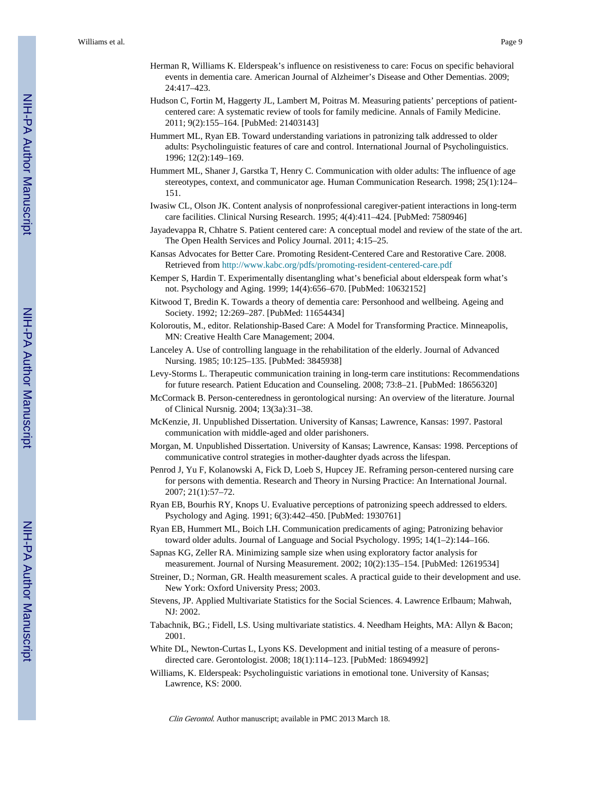- Herman R, Williams K. Elderspeak's influence on resistiveness to care: Focus on specific behavioral events in dementia care. American Journal of Alzheimer's Disease and Other Dementias. 2009; 24:417–423.
- Hudson C, Fortin M, Haggerty JL, Lambert M, Poitras M. Measuring patients' perceptions of patientcentered care: A systematic review of tools for family medicine. Annals of Family Medicine. 2011; 9(2):155–164. [PubMed: 21403143]
- Hummert ML, Ryan EB. Toward understanding variations in patronizing talk addressed to older adults: Psycholinguistic features of care and control. International Journal of Psycholinguistics. 1996; 12(2):149–169.
- Hummert ML, Shaner J, Garstka T, Henry C. Communication with older adults: The influence of age stereotypes, context, and communicator age. Human Communication Research. 1998; 25(1):124– 151.
- Iwasiw CL, Olson JK. Content analysis of nonprofessional caregiver-patient interactions in long-term care facilities. Clinical Nursing Research. 1995; 4(4):411–424. [PubMed: 7580946]
- Jayadevappa R, Chhatre S. Patient centered care: A conceptual model and review of the state of the art. The Open Health Services and Policy Journal. 2011; 4:15–25.
- Kansas Advocates for Better Care. Promoting Resident-Centered Care and Restorative Care. 2008. Retrieved from <http://www.kabc.org/pdfs/promoting-resident-centered-care.pdf>
- Kemper S, Hardin T. Experimentally disentangling what's beneficial about elderspeak form what's not. Psychology and Aging. 1999; 14(4):656–670. [PubMed: 10632152]
- Kitwood T, Bredin K. Towards a theory of dementia care: Personhood and wellbeing. Ageing and Society. 1992; 12:269–287. [PubMed: 11654434]
- Koloroutis, M., editor. Relationship-Based Care: A Model for Transforming Practice. Minneapolis, MN: Creative Health Care Management; 2004.
- Lanceley A. Use of controlling language in the rehabilitation of the elderly. Journal of Advanced Nursing. 1985; 10:125–135. [PubMed: 3845938]
- Levy-Storms L. Therapeutic communication training in long-term care institutions: Recommendations for future research. Patient Education and Counseling. 2008; 73:8–21. [PubMed: 18656320]
- McCormack B. Person-centeredness in gerontological nursing: An overview of the literature. Journal of Clinical Nursnig. 2004; 13(3a):31–38.
- McKenzie, JI. Unpublished Dissertation. University of Kansas; Lawrence, Kansas: 1997. Pastoral communication with middle-aged and older parishoners.
- Morgan, M. Unpublished Dissertation. University of Kansas; Lawrence, Kansas: 1998. Perceptions of communicative control strategies in mother-daughter dyads across the lifespan.
- Penrod J, Yu F, Kolanowski A, Fick D, Loeb S, Hupcey JE. Reframing person-centered nursing care for persons with dementia. Research and Theory in Nursing Practice: An International Journal. 2007; 21(1):57–72.
- Ryan EB, Bourhis RY, Knops U. Evaluative perceptions of patronizing speech addressed to elders. Psychology and Aging. 1991; 6(3):442–450. [PubMed: 1930761]
- Ryan EB, Hummert ML, Boich LH. Communication predicaments of aging; Patronizing behavior toward older adults. Journal of Language and Social Psychology. 1995; 14(1–2):144–166.
- Sapnas KG, Zeller RA. Minimizing sample size when using exploratory factor analysis for measurement. Journal of Nursing Measurement. 2002; 10(2):135–154. [PubMed: 12619534]
- Streiner, D.; Norman, GR. Health measurement scales. A practical guide to their development and use. New York: Oxford University Press; 2003.
- Stevens, JP. Applied Multivariate Statistics for the Social Sciences. 4. Lawrence Erlbaum; Mahwah, NJ: 2002.
- Tabachnik, BG.; Fidell, LS. Using multivariate statistics. 4. Needham Heights, MA: Allyn & Bacon; 2001.
- White DL, Newton-Curtas L, Lyons KS. Development and initial testing of a measure of peronsdirected care. Gerontologist. 2008; 18(1):114–123. [PubMed: 18694992]
- Williams, K. Elderspeak: Psycholinguistic variations in emotional tone. University of Kansas; Lawrence, KS: 2000.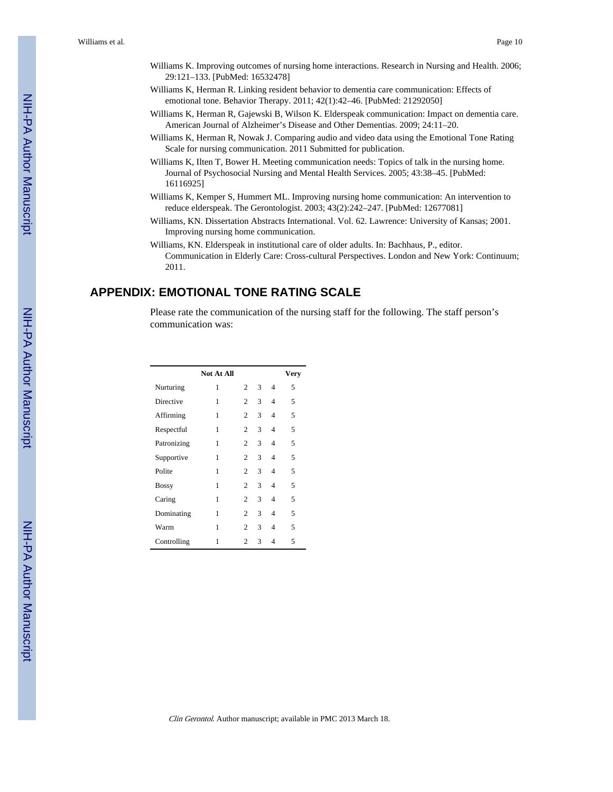- Williams K. Improving outcomes of nursing home interactions. Research in Nursing and Health. 2006; 29:121–133. [PubMed: 16532478]
- Williams K, Herman R. Linking resident behavior to dementia care communication: Effects of emotional tone. Behavior Therapy. 2011; 42(1):42–46. [PubMed: 21292050]
- Williams K, Herman R, Gajewski B, Wilson K. Elderspeak communication: Impact on dementia care. American Journal of Alzheimer's Disease and Other Dementias. 2009; 24:11–20.
- Williams K, Herman R, Nowak J. Comparing audio and video data using the Emotional Tone Rating Scale for nursing communication. 2011 Submitted for publication.
- Williams K, Ilten T, Bower H. Meeting communication needs: Topics of talk in the nursing home. Journal of Psychosocial Nursing and Mental Health Services. 2005; 43:38–45. [PubMed: 16116925]
- Williams K, Kemper S, Hummert ML. Improving nursing home communication: An intervention to reduce elderspeak. The Gerontologist. 2003; 43(2):242–247. [PubMed: 12677081]
- Williams, KN. Dissertation Abstracts International. Vol. 62. Lawrence: University of Kansas; 2001. Improving nursing home communication.
- Williams, KN. Elderspeak in institutional care of older adults. In: Bachhaus, P., editor. Communication in Elderly Care: Cross-cultural Perspectives. London and New York: Continuum; 2011.

## **APPENDIX: EMOTIONAL TONE RATING SCALE**

Please rate the communication of the nursing staff for the following. The staff person's communication was:

|              | <b>Not At All</b> |                |   |   | Very |
|--------------|-------------------|----------------|---|---|------|
| Nurturing    | 1                 | 2              | 3 | 4 | 5    |
| Directive    | 1                 | $\overline{c}$ | 3 | 4 | 5    |
| Affirming    | 1                 | $\overline{c}$ | 3 | 4 | 5    |
| Respectful   | 1                 | $\overline{c}$ | 3 | 4 | 5    |
| Patronizing  | 1                 | 2              | 3 | 4 | 5    |
| Supportive   | 1                 | 2              | 3 | 4 | 5    |
| Polite       | 1                 | $\mathfrak{D}$ | 3 | 4 | 5    |
| <b>Bossy</b> | 1                 | $\overline{c}$ | 3 | 4 | 5    |
| Caring       | 1                 | $\overline{c}$ | 3 | 4 | 5    |
| Dominating   | 1                 | 2              | 3 | 4 | 5    |
| Warm         | 1                 | $\overline{c}$ | 3 | 4 | 5    |
| Controlling  | 1                 | $\overline{c}$ | 3 | 4 | 5    |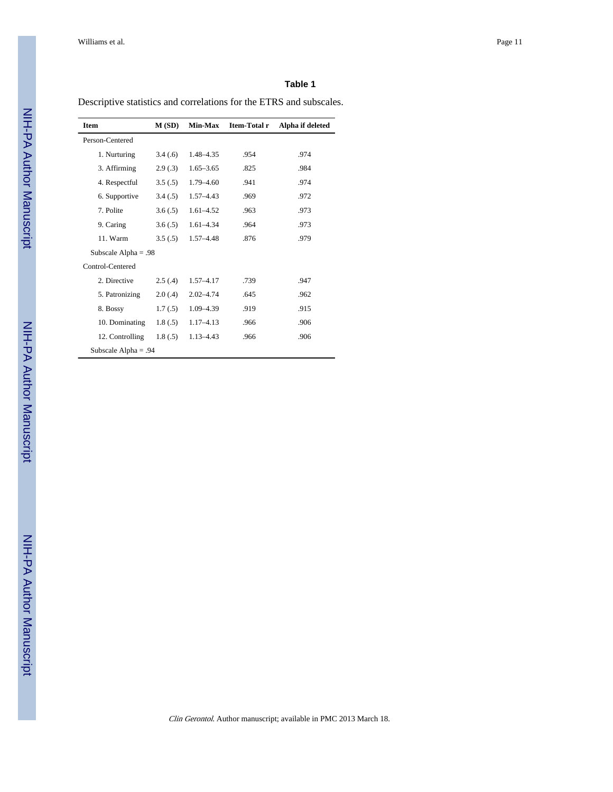#### **Table 1**

Descriptive statistics and correlations for the ETRS and subscales.

| <b>Item</b>            | M(SD)    | Min-Max       | Item-Total r | Alpha if deleted |
|------------------------|----------|---------------|--------------|------------------|
| Person-Centered        |          |               |              |                  |
| 1. Nurturing           | 3.4(.6)  | 1.48–4.35     | .954         | .974             |
| 3. Affirming           | 2.9(.3)  | $1.65 - 3.65$ | .825         | .984             |
| 4. Respectful          | 3.5(.5)  | 1.79 - 4.60   | .941         | .974             |
| 6. Supportive          | 3.4(.5)  | 1.57-4.43     | .969         | .972             |
| 7. Polite              | 3.6(.5)  | 1.61-4.52     | .963         | .973             |
| 9. Caring              | 3.6(.5)  | $1.61 - 4.34$ | .964         | .973             |
| 11. Warm               | 3.5(.5)  | $1.57 - 4.48$ | .876         | .979             |
| Subscale Alpha = $.98$ |          |               |              |                  |
| Control-Centered       |          |               |              |                  |
| 2. Directive           | 2.5(4)   | $1.57 - 4.17$ | .739         | .947             |
| 5. Patronizing         | 2.0(0.4) | $2.02 - 4.74$ | .645         | .962             |
| 8. Bossy               | 1.7(0.5) | 1.09-4.39     | .919         | .915             |
| 10. Dominating         | 1.8(.5)  | $1.17 - 4.13$ | .966         | .906             |
| 12. Controlling        | 1.8(.5)  | $1.13 - 4.43$ | .966         | .906             |
| Subscale Alpha = $.94$ |          |               |              |                  |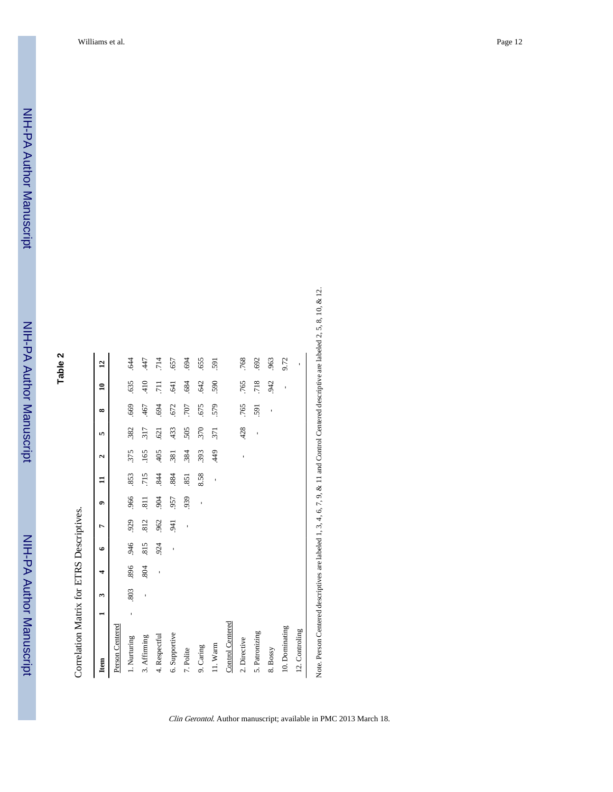| ∾      |  |
|--------|--|
| ω      |  |
| ۰.     |  |
| u<br>ь |  |

| ֕             |
|---------------|
| $\frac{1}{2}$ |
|               |
|               |

| Item             |   | 3   | 4   | ی              | ᠇                        | ٠              | ፡    | $\mathbf{\hat{z}}$ | 5    | $\infty$ | ≘                | $\overline{1}$ |
|------------------|---|-----|-----|----------------|--------------------------|----------------|------|--------------------|------|----------|------------------|----------------|
| Person Centered  |   |     |     |                |                          |                |      |                    |      |          |                  |                |
| 1. Nurturing     | ï | 803 | 896 | 946            | 929                      | .966           | .853 | 375                | .382 | .669     | 635              | $-644$         |
| 3. Affirming     |   | ï   | 804 | 815            | 812                      | $\overline{3}$ | 715  | .165               | 317  | 467      | 410              | 447            |
| 4. Respectful    |   |     | ı   | 924            | .962                     | 904            | 844  | 405                | .621 | .694     | $\overline{711}$ | .714           |
| 6. Supportive    |   |     |     | $\overline{1}$ | 941                      | 957            | 884  | .381               | .433 | .672     | 541              | .657           |
| 7. Polite        |   |     |     |                | $\overline{\phantom{a}}$ | 939            | 851  | .384               | 505  | 707      | .684             | 694            |
| 9. Caring        |   |     |     |                |                          | ı              | 8.58 | 393                | 370  | .675     | .642             | 655            |
| 11. Warm         |   |     |     |                |                          |                | ï    | 449                | 371  | 579      | 590              | 591            |
| Control Centered |   |     |     |                |                          |                |      |                    |      |          |                  |                |
| 2. Directive     |   |     |     |                |                          |                |      | ı                  | .428 | .765     | .765             | .768           |
| 5. Patronizing   |   |     |     |                |                          |                |      |                    | ı    | 591      | 718              | .692           |
| 8. Bossy         |   |     |     |                |                          |                |      |                    |      | ï        | 942              | 963            |
| 10. Dominating   |   |     |     |                |                          |                |      |                    |      |          | ï                | 9.72           |
| 12. Controling   |   |     |     |                |                          |                |      |                    |      |          |                  |                |

Note. Person Centered descriptives are labeled 1, 3, 4, 6, 7, 9, & 11 and Control Centered descriptive are labeled 2, 5, 8, 10, & 12.